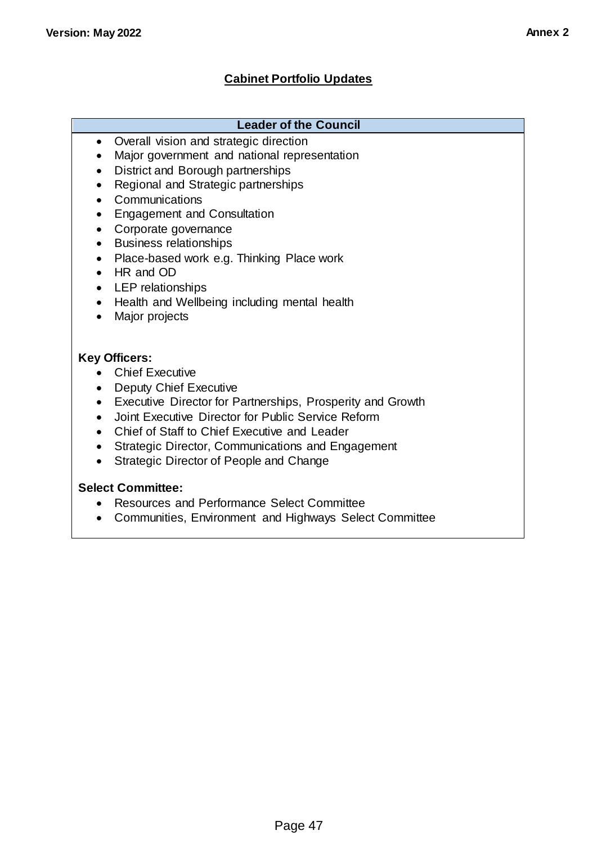# **Cabinet Portfolio Updates**

### **Leader of the Council**

- Overall vision and strategic direction
- Major government and national representation
- District and Borough partnerships
- Regional and Strategic partnerships
- Communications
- Engagement and Consultation
- Corporate governance
- Business relationships
- Place-based work e.g. Thinking Place work
- HR and OD
- LEP relationships
- Health and Wellbeing including mental health
- Major projects

### **Key Officers:**

- Chief Executive
- Deputy Chief Executive
- Executive Director for Partnerships, Prosperity and Growth
- Joint Executive Director for Public Service Reform
- Chief of Staff to Chief Executive and Leader
- Strategic Director, Communications and Engagement
- Strategic Director of People and Change

### **Select Committee:**

- Resources and Performance Select Committee
- Communities, Environment and Highways Select Committee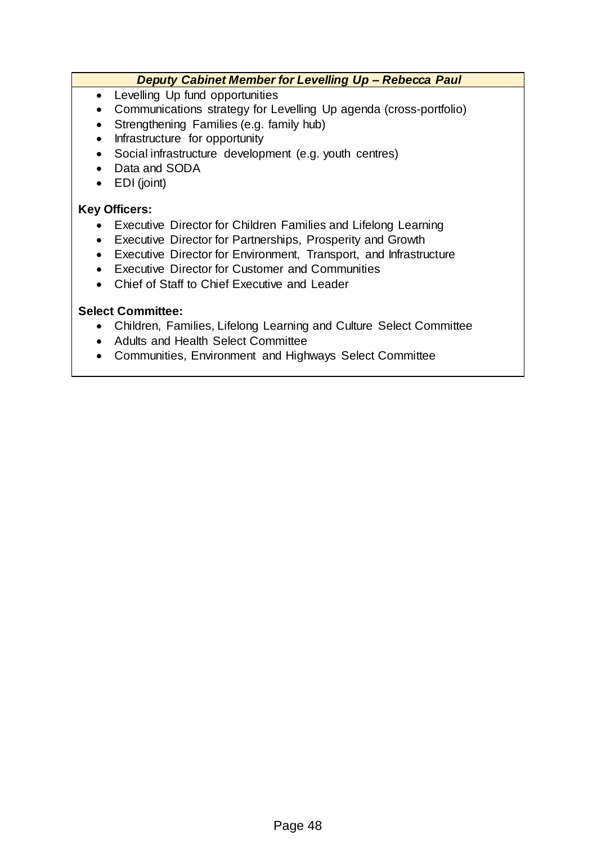### *Deputy Cabinet Member for Levelling Up – Rebecca Paul*

- Levelling Up fund opportunities
- Communications strategy for Levelling Up agenda (cross-portfolio)
- Strengthening Families (e.g. family hub)
- Infrastructure for opportunity
- Social infrastructure development (e.g. youth centres)
- Data and SODA
- EDI (joint)

### **Key Officers:**

- Executive Director for Children Families and Lifelong Learning
- Executive Director for Partnerships, Prosperity and Growth
- Executive Director for Environment, Transport, and Infrastructure
- Executive Director for Customer and Communities
- Chief of Staff to Chief Executive and Leader

### **Select Committee:**

- Children, Families, Lifelong Learning and Culture Select Committee
- Adults and Health Select Committee
- Communities, Environment and Highways Select Committee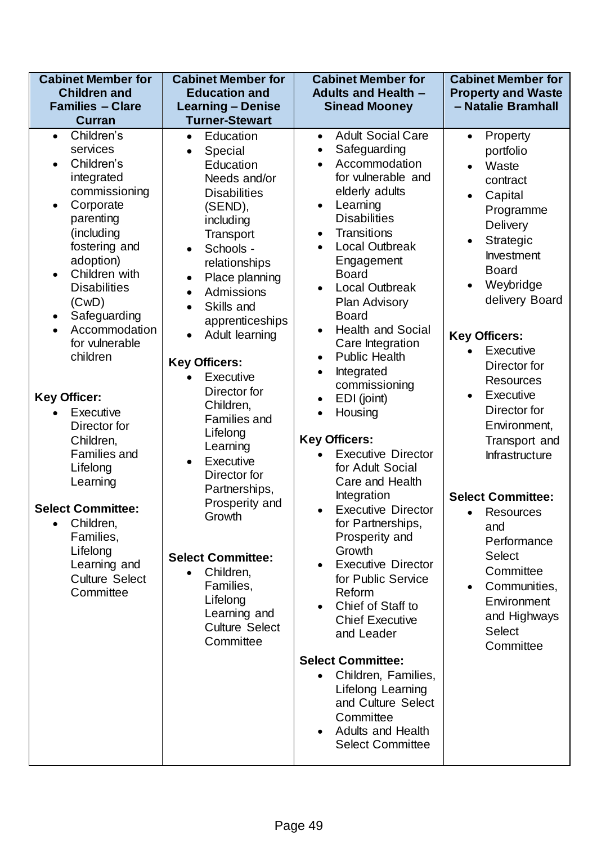| <b>Cabinet Member for</b><br><b>Children and</b>                                                                                                                                                                                                                                                                                                                                                         | <b>Cabinet Member for</b><br><b>Education and</b>                                                                                                                                                                                                                                                                                                                                                                 | <b>Cabinet Member for</b><br><b>Adults and Health -</b>                                                                                                                                                                                                                                                                                                                                                                                                                                                                                      | <b>Cabinet Member for</b><br><b>Property and Waste</b>                                                                                                                                                                                                                                                                       |
|----------------------------------------------------------------------------------------------------------------------------------------------------------------------------------------------------------------------------------------------------------------------------------------------------------------------------------------------------------------------------------------------------------|-------------------------------------------------------------------------------------------------------------------------------------------------------------------------------------------------------------------------------------------------------------------------------------------------------------------------------------------------------------------------------------------------------------------|----------------------------------------------------------------------------------------------------------------------------------------------------------------------------------------------------------------------------------------------------------------------------------------------------------------------------------------------------------------------------------------------------------------------------------------------------------------------------------------------------------------------------------------------|------------------------------------------------------------------------------------------------------------------------------------------------------------------------------------------------------------------------------------------------------------------------------------------------------------------------------|
| <b>Families - Clare</b>                                                                                                                                                                                                                                                                                                                                                                                  | <b>Learning - Denise</b>                                                                                                                                                                                                                                                                                                                                                                                          | <b>Sinead Mooney</b>                                                                                                                                                                                                                                                                                                                                                                                                                                                                                                                         | - Natalie Bramhall                                                                                                                                                                                                                                                                                                           |
| <b>Curran</b>                                                                                                                                                                                                                                                                                                                                                                                            | <b>Turner-Stewart</b>                                                                                                                                                                                                                                                                                                                                                                                             |                                                                                                                                                                                                                                                                                                                                                                                                                                                                                                                                              |                                                                                                                                                                                                                                                                                                                              |
| Children's<br>$\bullet$<br>services<br>Children's<br>$\bullet$<br>integrated<br>commissioning<br>Corporate<br>$\bullet$<br>parenting<br>(including<br>fostering and<br>adoption)<br>Children with<br>$\bullet$<br><b>Disabilities</b><br>(CwD)<br>Safeguarding<br>$\bullet$<br>Accommodation<br>$\bullet$<br>for vulnerable<br>children<br><b>Key Officer:</b><br>Executive<br>$\bullet$<br>Director for | Education<br>$\bullet$<br>Special<br>$\bullet$<br>Education<br>Needs and/or<br><b>Disabilities</b><br>(SEND),<br>including<br>Transport<br>Schools -<br>$\bullet$<br>relationships<br>Place planning<br>$\bullet$<br>Admissions<br>$\bullet$<br>Skills and<br>$\bullet$<br>apprenticeships<br>Adult learning<br><b>Key Officers:</b><br>Executive<br>Director for<br>Children,<br><b>Families and</b><br>Lifelong | <b>Adult Social Care</b><br>$\bullet$<br>Safeguarding<br>$\bullet$<br>Accommodation<br>$\bullet$<br>for vulnerable and<br>elderly adults<br>Learning<br>$\bullet$<br><b>Disabilities</b><br>Transitions<br>$\bullet$<br><b>Local Outbreak</b><br>$\bullet$<br>Engagement<br><b>Board</b><br><b>Local Outbreak</b><br><b>Plan Advisory</b><br><b>Board</b><br><b>Health and Social</b><br>Care Integration<br><b>Public Health</b><br>Integrated<br>$\bullet$<br>commissioning<br>EDI (joint)<br>$\bullet$<br>Housing<br><b>Key Officers:</b> | Property<br>$\bullet$<br>portfolio<br>Waste<br>contract<br>Capital<br>Programme<br>Delivery<br>Strategic<br>$\bullet$<br><b>Investment</b><br><b>Board</b><br>Weybridge<br>delivery Board<br><b>Key Officers:</b><br>Executive<br>Director for<br><b>Resources</b><br>Executive<br>$\bullet$<br>Director for<br>Environment, |
| Children,<br><b>Families and</b><br>Lifelong<br>Learning<br><b>Select Committee:</b><br>Children,<br>$\bullet$<br>Families,                                                                                                                                                                                                                                                                              | Learning<br>Executive<br>$\bullet$<br>Director for<br>Partnerships,<br>Prosperity and<br>Growth                                                                                                                                                                                                                                                                                                                   | <b>Executive Director</b><br>for Adult Social<br>Care and Health<br>Integration<br><b>Executive Director</b><br>for Partnerships,<br>Prosperity and                                                                                                                                                                                                                                                                                                                                                                                          | Transport and<br>Infrastructure<br><b>Select Committee:</b><br>Resources<br>$\bullet$<br>and                                                                                                                                                                                                                                 |
| Lifelong<br>Learning and<br><b>Culture Select</b><br>Committee                                                                                                                                                                                                                                                                                                                                           | <b>Select Committee:</b><br>Children,<br>$\bullet$<br>Families,<br>Lifelong<br>Learning and<br><b>Culture Select</b><br>Committee                                                                                                                                                                                                                                                                                 | Growth<br><b>Executive Director</b><br>for Public Service<br>Reform<br>Chief of Staff to<br><b>Chief Executive</b><br>and Leader<br><b>Select Committee:</b>                                                                                                                                                                                                                                                                                                                                                                                 | Performance<br><b>Select</b><br>Committee<br>Communities,<br>Environment<br>and Highways<br><b>Select</b><br>Committee                                                                                                                                                                                                       |
|                                                                                                                                                                                                                                                                                                                                                                                                          |                                                                                                                                                                                                                                                                                                                                                                                                                   | Children, Families,<br>Lifelong Learning<br>and Culture Select<br>Committee<br><b>Adults and Health</b><br><b>Select Committee</b>                                                                                                                                                                                                                                                                                                                                                                                                           |                                                                                                                                                                                                                                                                                                                              |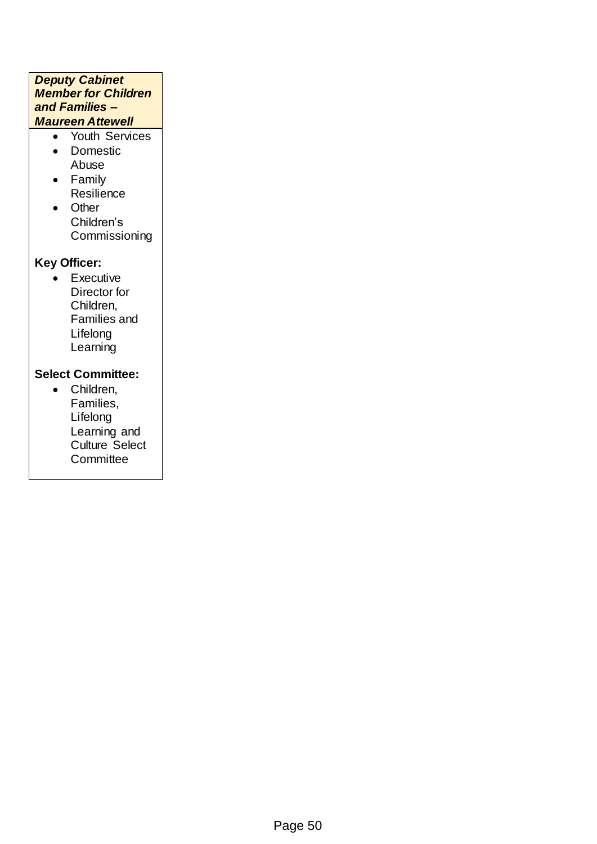#### *Deputy Cabinet Member for Children and Families – Maureen Attewell*

- Youth Services
- Domestic Abuse
- Family **Resilience**
- Other Children's **Commissioning**

## **Key Officer:**

• Executive Director for Children, Families and Lifelong **Learning** 

## **Select Committee:**

 Children, Families, Lifelong Learning and Culture Select **Committee**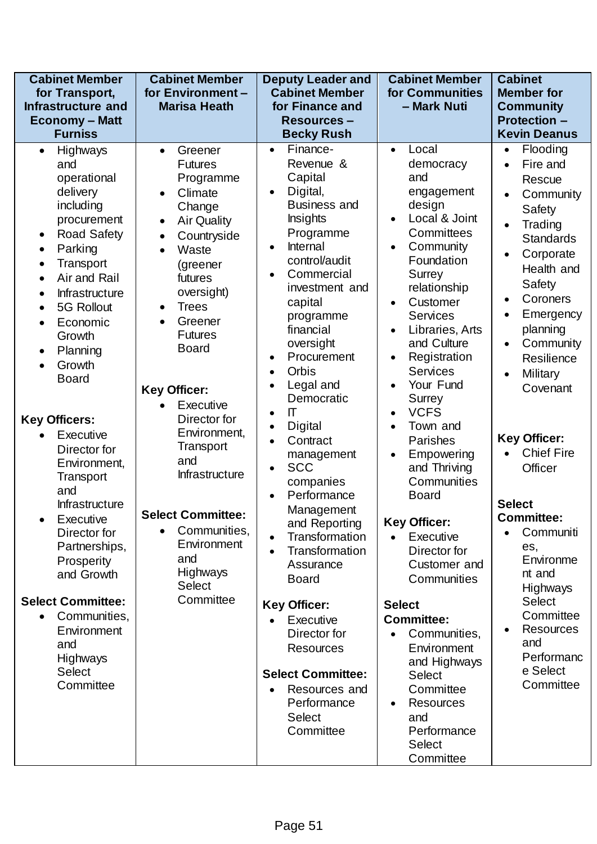| <b>Cabinet Member</b><br>for Transport,<br><b>Infrastructure and</b><br><b>Economy - Matt</b><br><b>Furniss</b>                                                                                                                                                                                                                                                                                                                                                                                                                                                                                                                                                                                       | <b>Cabinet Member</b><br>for Environment-<br><b>Marisa Heath</b>                                                                                                                                                                                                                                                                                                                                                                                                                                                                                              | <b>Deputy Leader and</b><br><b>Cabinet Member</b><br>for Finance and<br><b>Resources-</b><br><b>Becky Rush</b>                                                                                                                                                                                                                                                                                                                                                                                                                                                                                                                                                                                                                                              | <b>Cabinet Member</b><br>for Communities<br>- Mark Nuti                                                                                                                                                                                                                                                                                                                                                                                                                                                                                                                                                                                                                                                                    | <b>Cabinet</b><br><b>Member for</b><br><b>Community</b><br><b>Protection -</b><br><b>Kevin Deanus</b>                                                                                                                                                                                                                                                                                                                                                                                                                                                                                                                                    |
|-------------------------------------------------------------------------------------------------------------------------------------------------------------------------------------------------------------------------------------------------------------------------------------------------------------------------------------------------------------------------------------------------------------------------------------------------------------------------------------------------------------------------------------------------------------------------------------------------------------------------------------------------------------------------------------------------------|---------------------------------------------------------------------------------------------------------------------------------------------------------------------------------------------------------------------------------------------------------------------------------------------------------------------------------------------------------------------------------------------------------------------------------------------------------------------------------------------------------------------------------------------------------------|-------------------------------------------------------------------------------------------------------------------------------------------------------------------------------------------------------------------------------------------------------------------------------------------------------------------------------------------------------------------------------------------------------------------------------------------------------------------------------------------------------------------------------------------------------------------------------------------------------------------------------------------------------------------------------------------------------------------------------------------------------------|----------------------------------------------------------------------------------------------------------------------------------------------------------------------------------------------------------------------------------------------------------------------------------------------------------------------------------------------------------------------------------------------------------------------------------------------------------------------------------------------------------------------------------------------------------------------------------------------------------------------------------------------------------------------------------------------------------------------------|------------------------------------------------------------------------------------------------------------------------------------------------------------------------------------------------------------------------------------------------------------------------------------------------------------------------------------------------------------------------------------------------------------------------------------------------------------------------------------------------------------------------------------------------------------------------------------------------------------------------------------------|
| <b>Highways</b><br>$\bullet$<br>and<br>operational<br>delivery<br>including<br>procurement<br><b>Road Safety</b><br>$\bullet$<br>Parking<br>$\bullet$<br>Transport<br>$\bullet$<br>Air and Rail<br>$\bullet$<br><b>Infrastructure</b><br>$\bullet$<br>5G Rollout<br>$\bullet$<br>Economic<br>$\bullet$<br>Growth<br>Planning<br>$\bullet$<br>Growth<br><b>Board</b><br><b>Key Officers:</b><br>Executive<br>$\bullet$<br>Director for<br>Environment,<br>Transport<br>and<br>Infrastructure<br>Executive<br>Director for<br>Partnerships,<br>Prosperity<br>and Growth<br><b>Select Committee:</b><br>Communities,<br>$\bullet$<br>Environment<br>and<br><b>Highways</b><br><b>Select</b><br>Committee | Greener<br>$\bullet$<br><b>Futures</b><br>Programme<br>Climate<br>$\bullet$<br>Change<br><b>Air Quality</b><br>$\bullet$<br>Countryside<br>$\bullet$<br>Waste<br>$\bullet$<br>(greener<br>futures<br>oversight)<br><b>Trees</b><br>$\bullet$<br>Greener<br>$\bullet$<br><b>Futures</b><br><b>Board</b><br><b>Key Officer:</b><br>Executive<br>$\bullet$<br>Director for<br>Environment,<br>Transport<br>and<br>Infrastructure<br><b>Select Committee:</b><br>Communities,<br>$\bullet$<br>Environment<br>and<br><b>Highways</b><br><b>Select</b><br>Committee | Finance-<br>$\bullet$<br>Revenue &<br>Capital<br>Digital,<br><b>Business and</b><br><b>Insights</b><br>Programme<br>Internal<br>$\bullet$<br>control/audit<br>Commercial<br>investment and<br>capital<br>programme<br>financial<br>oversight<br>Procurement<br>$\bullet$<br>Orbis<br>$\bullet$<br>Legal and<br>Democratic<br>$\Pi$<br>$\bullet$<br>Digital<br>Contract<br>$\bullet$<br>management<br><b>SCC</b><br>$\bullet$<br>companies<br>Performance<br>$\bullet$<br>Management<br>and Reporting<br><b>Transformation</b><br>$\bullet$<br>Transformation<br>Assurance<br><b>Board</b><br><b>Key Officer:</b><br>Executive<br>Director for<br><b>Resources</b><br><b>Select Committee:</b><br>Resources and<br>Performance<br><b>Select</b><br>Committee | Local<br>$\bullet$<br>democracy<br>and<br>engagement<br>design<br>Local & Joint<br>Committees<br>Community<br>$\bullet$<br>Foundation<br>Surrey<br>relationship<br>Customer<br>$\bullet$<br><b>Services</b><br>Libraries, Arts<br>and Culture<br>Registration<br><b>Services</b><br>Your Fund<br><b>Surrey</b><br><b>VCFS</b><br>Town and<br>Parishes<br>Empowering<br>$\bullet$<br>and Thriving<br>Communities<br><b>Board</b><br><b>Key Officer:</b><br>Executive<br>$\bullet$<br>Director for<br>Customer and<br>Communities<br><b>Select</b><br><b>Committee:</b><br>Communities,<br>Environment<br>and Highways<br><b>Select</b><br>Committee<br><b>Resources</b><br>and<br>Performance<br><b>Select</b><br>Committee | Flooding<br>$\bullet$<br>Fire and<br>$\bullet$<br>Rescue<br>Community<br>$\bullet$<br>Safety<br>Trading<br>$\bullet$<br><b>Standards</b><br>Corporate<br>$\bullet$<br>Health and<br><b>Safety</b><br>Coroners<br>$\bullet$<br>Emergency<br>$\bullet$<br>planning<br>Community<br>$\bullet$<br>Resilience<br>Military<br>$\bullet$<br>Covenant<br><b>Key Officer:</b><br><b>Chief Fire</b><br>$\bullet$<br>Officer<br><b>Select</b><br><b>Committee:</b><br>Communiti<br>$\bullet$<br>es,<br>Environme<br>nt and<br>Highways<br><b>Select</b><br>Committee<br><b>Resources</b><br>$\bullet$<br>and<br>Performanc<br>e Select<br>Committee |